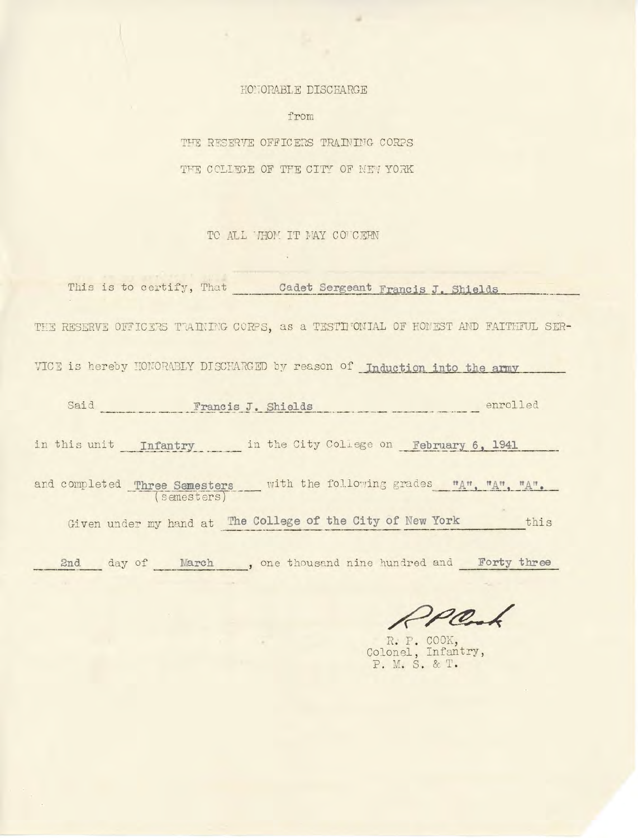## HONORABLE DISCHARGE

from

THE RESERVE OFFICERS TRAINING CORPS THE COLLEGE OF THE CITY OF NEW YORK

TO ALL MOM IT NAY CONCERN

This is to certify, That **Cadet Sergeant Francis J. Shields** THE RESERVE OFFICERS TRAINING CORPS, as a TESTIMONIAL OF HONEST AND FAITHFUL SER-VICE is hereby HONORABLY DISCHARGED by reason of Induction into the army Said Francis J. Shields enrolled in this unit **Infantry** in the City College on **February 6, 1941** and comp <sup>l</sup> et ed **Three Semesters** with the following grades ( se me st ersT Given under my hand at **The College of the City of New York** this 2nd day of March , one thousand nine hundred and **Forty three** 

R. P. COOK, Colonel, Infantry, P. M. S. & T.